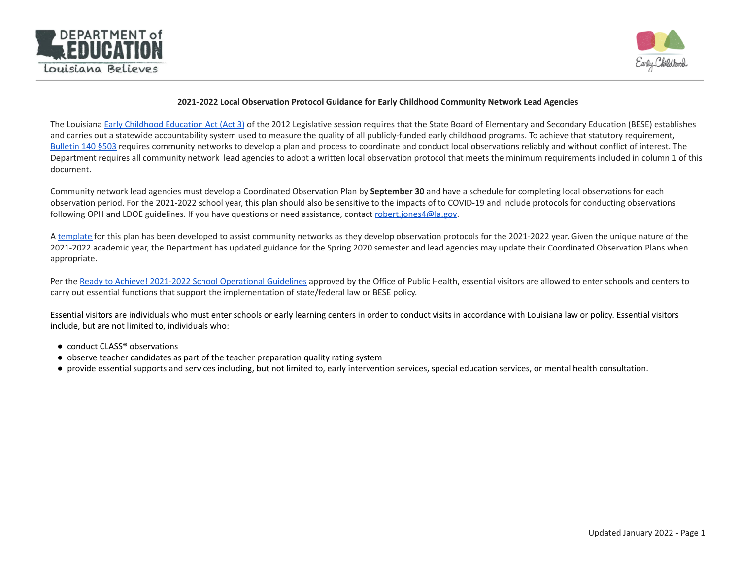



#### **2021-2022 Local Observation Protocol Guidance for Early Childhood Community Network Lead Agencies**

The Louisiana Early [Childhood](http://www.legis.la.gov/legis/ViewDocument.aspx?d=800894&n=SB581%20Act%203) Education Act (Act 3) of the 2012 Legislative session requires that the State Board of Elementary and Secondary Education (BESE) establishes and carries out a statewide accountability system used to measure the quality of all publicly-funded early childhood programs. To achieve that statutory requirement, [Bulletin](https://www.louisianabelieves.com/docs/default-source/links-for-newsletters/b140-august-2015.pdf?sfvrsn=2) 140 §503 requires community networks to develop a plan and process to coordinate and conduct local observations reliably and without conflict of interest. The Department requires all community network lead agencies to adopt a written local observation protocol that meets the minimum requirements included in column 1 of this document.

Community network lead agencies must develop a Coordinated Observation Plan by **September 30** and have a schedule for completing local observations for each observation period. For the 2021-2022 school year, this plan should also be sensitive to the impacts of to COVID-19 and include protocols for conducting observations following OPH and LDOE guidelines. If you have questions or need assistance, contact [robert.jones4@la.gov.](mailto:robert.jones4@la.gov)

A [template](https://www.louisianabelieves.com/docs/default-source/early-childhood/fall-2020-observation-plan-template.docx?sfvrsn=abd3991f_2) for this plan has been developed to assist community networks as they develop observation protocols for the 2021-2022 year. Given the unique nature of the 2021-2022 academic year, the Department has updated guidance for the Spring 2020 semester and lead agencies may update their Coordinated Observation Plans when appropriate.

Per the Ready to Achieve! 2021-2022 School [Operational](https://www.louisianabelieves.com/docs/default-source/strong-start-2020/school-reopening-guidelines-and-resources.pdf) Guidelines approved by the Office of Public Health, essential visitors are allowed to enter schools and centers to carry out essential functions that support the implementation of state/federal law or BESE policy.

Essential visitors are individuals who must enter schools or early learning centers in order to conduct visits in accordance with Louisiana law or policy. Essential visitors include, but are not limited to, individuals who:

- conduct CLASS<sup>®</sup> observations
- observe teacher candidates as part of the teacher preparation quality rating system
- provide essential supports and services including, but not limited to, early intervention services, special education services, or mental health consultation.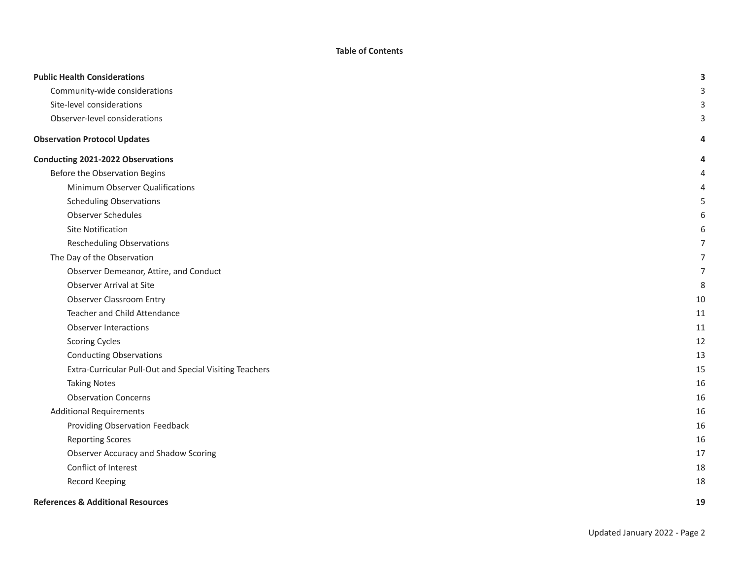**Table of Contents**

| <b>Public Health Considerations</b>                     | 3  |
|---------------------------------------------------------|----|
| Community-wide considerations                           |    |
| Site-level considerations                               |    |
| Observer-level considerations                           |    |
| <b>Observation Protocol Updates</b>                     |    |
| Conducting 2021-2022 Observations                       |    |
| Before the Observation Begins                           |    |
| Minimum Observer Qualifications                         |    |
| <b>Scheduling Observations</b>                          |    |
| Observer Schedules                                      |    |
| Site Notification                                       |    |
| <b>Rescheduling Observations</b>                        |    |
| The Day of the Observation                              |    |
| Observer Demeanor, Attire, and Conduct                  | 7  |
| Observer Arrival at Site                                | 8  |
| <b>Observer Classroom Entry</b>                         | 10 |
| Teacher and Child Attendance                            | 11 |
| <b>Observer Interactions</b>                            | 11 |
| <b>Scoring Cycles</b>                                   | 12 |
| <b>Conducting Observations</b>                          | 13 |
| Extra-Curricular Pull-Out and Special Visiting Teachers | 15 |
| <b>Taking Notes</b>                                     | 16 |
| <b>Observation Concerns</b>                             | 16 |
| <b>Additional Requirements</b>                          | 16 |
| Providing Observation Feedback                          | 16 |
| <b>Reporting Scores</b>                                 | 16 |
| Observer Accuracy and Shadow Scoring                    | 17 |
| Conflict of Interest                                    | 18 |
| Record Keeping                                          | 18 |
| <b>References &amp; Additional Resources</b>            | 19 |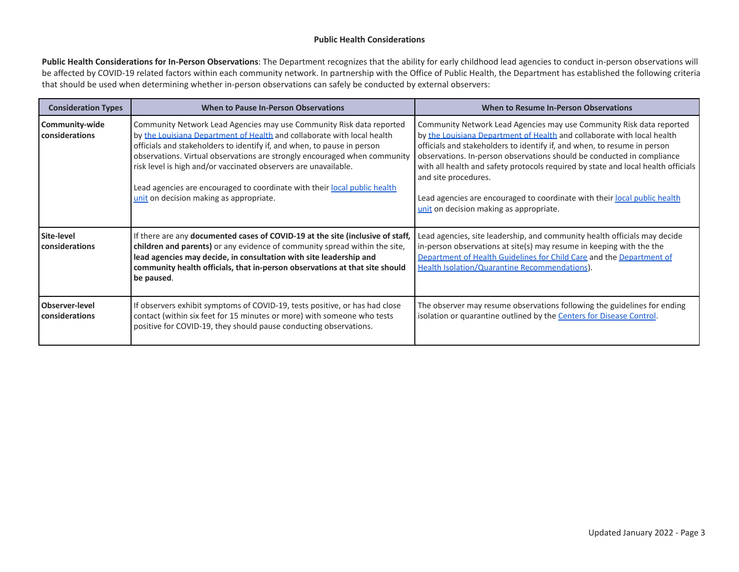#### **Public Health Considerations**

<span id="page-2-0"></span>**Public Health Considerations for In-Person Observations**: The Department recognizes that the ability for early childhood lead agencies to conduct in-person observations will be affected by COVID-19 related factors within each community network. In partnership with the Office of Public Health, the Department has established the following criteria that should be used when determining whether in-person observations can safely be conducted by external observers:

<span id="page-2-4"></span><span id="page-2-3"></span><span id="page-2-2"></span><span id="page-2-1"></span>

| <b>Consideration Types</b>              | When to Pause In-Person Observations                                                                                                                                                                                                                                                                                                                                                                                                                                                               | When to Resume In-Person Observations                                                                                                                                                                                                                                                                                                                                                                                                                                                                                                      |
|-----------------------------------------|----------------------------------------------------------------------------------------------------------------------------------------------------------------------------------------------------------------------------------------------------------------------------------------------------------------------------------------------------------------------------------------------------------------------------------------------------------------------------------------------------|--------------------------------------------------------------------------------------------------------------------------------------------------------------------------------------------------------------------------------------------------------------------------------------------------------------------------------------------------------------------------------------------------------------------------------------------------------------------------------------------------------------------------------------------|
| Community-wide<br>considerations        | Community Network Lead Agencies may use Community Risk data reported<br>by the Louisiana Department of Health and collaborate with local health<br>officials and stakeholders to identify if, and when, to pause in person<br>observations. Virtual observations are strongly encouraged when community<br>risk level is high and/or vaccinated observers are unavailable.<br>Lead agencies are encouraged to coordinate with their local public health<br>unit on decision making as appropriate. | Community Network Lead Agencies may use Community Risk data reported<br>by the Louisiana Department of Health and collaborate with local health<br>officials and stakeholders to identify if, and when, to resume in person<br>observations. In-person observations should be conducted in compliance<br>with all health and safety protocols required by state and local health officials<br>and site procedures.<br>Lead agencies are encouraged to coordinate with their local public health<br>unit on decision making as appropriate. |
| Site-level<br>considerations            | If there are any documented cases of COVID-19 at the site (inclusive of staff,<br>children and parents) or any evidence of community spread within the site,<br>lead agencies may decide, in consultation with site leadership and<br>community health officials, that in-person observations at that site should<br>be paused.                                                                                                                                                                    | Lead agencies, site leadership, and community health officials may decide<br>in-person observations at site(s) may resume in keeping with the the<br>Department of Health Guidelines for Child Care and the Department of<br>Health Isolation/Quarantine Recommendations).                                                                                                                                                                                                                                                                 |
| <b>Observer-level</b><br>considerations | If observers exhibit symptoms of COVID-19, tests positive, or has had close<br>contact (within six feet for 15 minutes or more) with someone who tests<br>positive for COVID-19, they should pause conducting observations.                                                                                                                                                                                                                                                                        | The observer may resume observations following the guidelines for ending<br>isolation or quarantine outlined by the Centers for Disease Control.                                                                                                                                                                                                                                                                                                                                                                                           |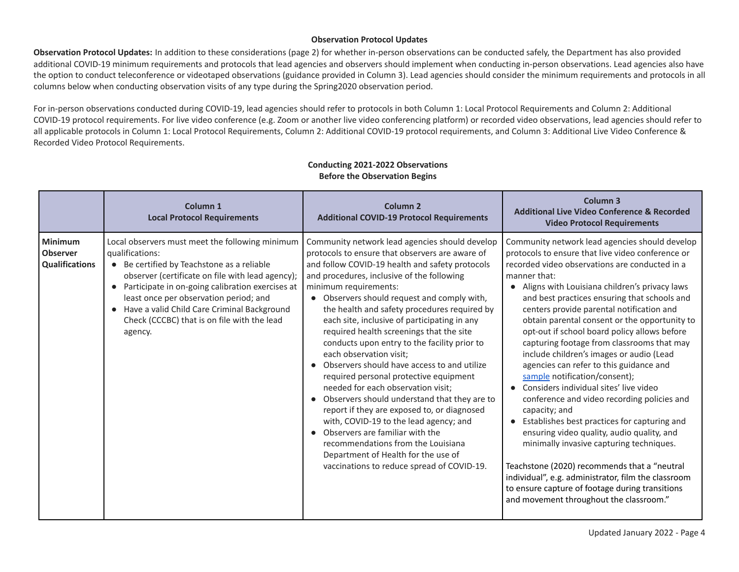### **Observation Protocol Updates**

**Observation Protocol Updates:** In addition to these considerations (page 2) for whether in-person observations can be conducted safely, the Department has also provided additional COVID-19 minimum requirements and protocols that lead agencies and observers should implement when conducting in-person observations. Lead agencies also have the option to conduct teleconference or videotaped observations (guidance provided in Column 3). Lead agencies should consider the minimum requirements and protocols in all columns below when conducting observation visits of any type during the Spring2020 observation period.

For in-person observations conducted during COVID-19, lead agencies should refer to protocols in both Column 1: Local Protocol Requirements and Column 2: Additional COVID-19 protocol requirements. For live video conference (e.g. Zoom or another live video conferencing platform) or recorded video observations, lead agencies should refer to all applicable protocols in Column 1: Local Protocol Requirements, Column 2: Additional COVID-19 protocol requirements, and Column 3: Additional Live Video Conference & Recorded Video Protocol Requirements.

<span id="page-3-2"></span><span id="page-3-1"></span><span id="page-3-0"></span>

|                                                            | Column <sub>1</sub><br><b>Local Protocol Requirements</b>                                                                                                                                                                                                                                                                                                                                  | Column <sub>2</sub><br><b>Additional COVID-19 Protocol Requirements</b>                                                                                                                                                                                                                                                                                                                                                                                                                                                                                                                                                                                                                                                                                                                                                                                                                                                                 | Column <sub>3</sub><br><b>Additional Live Video Conference &amp; Recorded</b><br><b>Video Protocol Requirements</b>                                                                                                                                                                                                                                                                                                                                                                                                                                                                                                                                                                                                                                                                                                                                                                                                                                                                                                                                 |
|------------------------------------------------------------|--------------------------------------------------------------------------------------------------------------------------------------------------------------------------------------------------------------------------------------------------------------------------------------------------------------------------------------------------------------------------------------------|-----------------------------------------------------------------------------------------------------------------------------------------------------------------------------------------------------------------------------------------------------------------------------------------------------------------------------------------------------------------------------------------------------------------------------------------------------------------------------------------------------------------------------------------------------------------------------------------------------------------------------------------------------------------------------------------------------------------------------------------------------------------------------------------------------------------------------------------------------------------------------------------------------------------------------------------|-----------------------------------------------------------------------------------------------------------------------------------------------------------------------------------------------------------------------------------------------------------------------------------------------------------------------------------------------------------------------------------------------------------------------------------------------------------------------------------------------------------------------------------------------------------------------------------------------------------------------------------------------------------------------------------------------------------------------------------------------------------------------------------------------------------------------------------------------------------------------------------------------------------------------------------------------------------------------------------------------------------------------------------------------------|
| <b>Minimum</b><br><b>Observer</b><br><b>Qualifications</b> | Local observers must meet the following minimum<br>qualifications:<br>• Be certified by Teachstone as a reliable<br>observer (certificate on file with lead agency);<br>Participate in on-going calibration exercises at<br>$\bullet$<br>least once per observation period; and<br>• Have a valid Child Care Criminal Background<br>Check (CCCBC) that is on file with the lead<br>agency. | Community network lead agencies should develop<br>protocols to ensure that observers are aware of<br>and follow COVID-19 health and safety protocols<br>and procedures, inclusive of the following<br>minimum requirements:<br>• Observers should request and comply with,<br>the health and safety procedures required by<br>each site, inclusive of participating in any<br>required health screenings that the site<br>conducts upon entry to the facility prior to<br>each observation visit:<br>Observers should have access to and utilize<br>required personal protective equipment<br>needed for each observation visit;<br>Observers should understand that they are to<br>report if they are exposed to, or diagnosed<br>with, COVID-19 to the lead agency; and<br>Observers are familiar with the<br>recommendations from the Louisiana<br>Department of Health for the use of<br>vaccinations to reduce spread of COVID-19. | Community network lead agencies should develop<br>protocols to ensure that live video conference or<br>recorded video observations are conducted in a<br>manner that:<br>Aligns with Louisiana children's privacy laws<br>and best practices ensuring that schools and<br>centers provide parental notification and<br>obtain parental consent or the opportunity to<br>opt-out if school board policy allows before<br>capturing footage from classrooms that may<br>include children's images or audio (Lead<br>agencies can refer to this guidance and<br>sample notification/consent);<br>Considers individual sites' live video<br>conference and video recording policies and<br>capacity; and<br>Establishes best practices for capturing and<br>ensuring video quality, audio quality, and<br>minimally invasive capturing techniques.<br>Teachstone (2020) recommends that a "neutral<br>individual", e.g. administrator, film the classroom<br>to ensure capture of footage during transitions<br>and movement throughout the classroom." |

#### **Conducting 2021-2022 Observations Before the Observation Begins**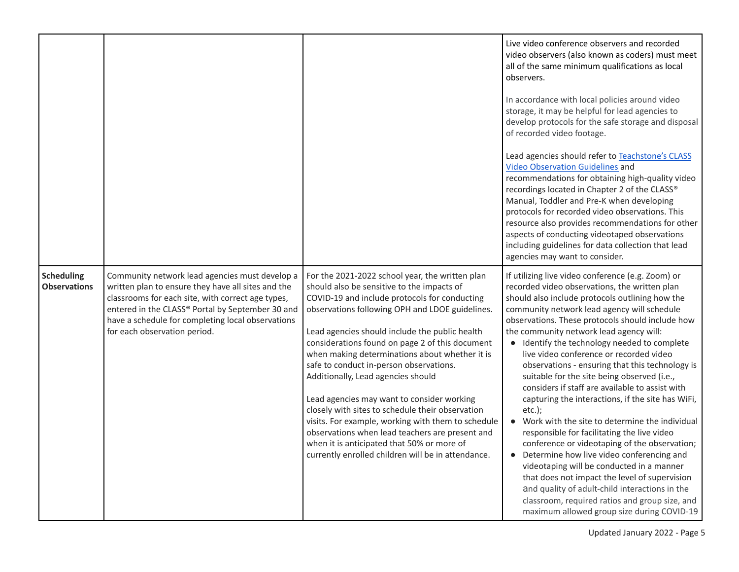<span id="page-4-0"></span>

|                                          |                                                                                                                                                                                                                                                                                                    |                                                                                                                                                                                                                                                                                                                                                                                                                                                                                                                                                                                                                                                                                                                                                          | Live video conference observers and recorded<br>video observers (also known as coders) must meet<br>all of the same minimum qualifications as local<br>observers.<br>In accordance with local policies around video<br>storage, it may be helpful for lead agencies to<br>develop protocols for the safe storage and disposal<br>of recorded video footage.<br>Lead agencies should refer to Teachstone's CLASS<br><b>Video Observation Guidelines and</b><br>recommendations for obtaining high-quality video<br>recordings located in Chapter 2 of the CLASS®<br>Manual, Toddler and Pre-K when developing<br>protocols for recorded video observations. This<br>resource also provides recommendations for other<br>aspects of conducting videotaped observations<br>including guidelines for data collection that lead<br>agencies may want to consider.                                                                                                                                                                                                                      |
|------------------------------------------|----------------------------------------------------------------------------------------------------------------------------------------------------------------------------------------------------------------------------------------------------------------------------------------------------|----------------------------------------------------------------------------------------------------------------------------------------------------------------------------------------------------------------------------------------------------------------------------------------------------------------------------------------------------------------------------------------------------------------------------------------------------------------------------------------------------------------------------------------------------------------------------------------------------------------------------------------------------------------------------------------------------------------------------------------------------------|-----------------------------------------------------------------------------------------------------------------------------------------------------------------------------------------------------------------------------------------------------------------------------------------------------------------------------------------------------------------------------------------------------------------------------------------------------------------------------------------------------------------------------------------------------------------------------------------------------------------------------------------------------------------------------------------------------------------------------------------------------------------------------------------------------------------------------------------------------------------------------------------------------------------------------------------------------------------------------------------------------------------------------------------------------------------------------------|
| <b>Scheduling</b><br><b>Observations</b> | Community network lead agencies must develop a<br>written plan to ensure they have all sites and the<br>classrooms for each site, with correct age types,<br>entered in the CLASS® Portal by September 30 and<br>have a schedule for completing local observations<br>for each observation period. | For the 2021-2022 school year, the written plan<br>should also be sensitive to the impacts of<br>COVID-19 and include protocols for conducting<br>observations following OPH and LDOE guidelines.<br>Lead agencies should include the public health<br>considerations found on page 2 of this document<br>when making determinations about whether it is<br>safe to conduct in-person observations.<br>Additionally, Lead agencies should<br>Lead agencies may want to consider working<br>closely with sites to schedule their observation<br>visits. For example, working with them to schedule<br>observations when lead teachers are present and<br>when it is anticipated that 50% or more of<br>currently enrolled children will be in attendance. | If utilizing live video conference (e.g. Zoom) or<br>recorded video observations, the written plan<br>should also include protocols outlining how the<br>community network lead agency will schedule<br>observations. These protocols should include how<br>the community network lead agency will:<br>• Identify the technology needed to complete<br>live video conference or recorded video<br>observations - ensuring that this technology is<br>suitable for the site being observed (i.e.,<br>considers if staff are available to assist with<br>capturing the interactions, if the site has WiFi,<br>$etc.$ );<br>Work with the site to determine the individual<br>$\bullet$<br>responsible for facilitating the live video<br>conference or videotaping of the observation;<br>Determine how live video conferencing and<br>videotaping will be conducted in a manner<br>that does not impact the level of supervision<br>and quality of adult-child interactions in the<br>classroom, required ratios and group size, and<br>maximum allowed group size during COVID-19 |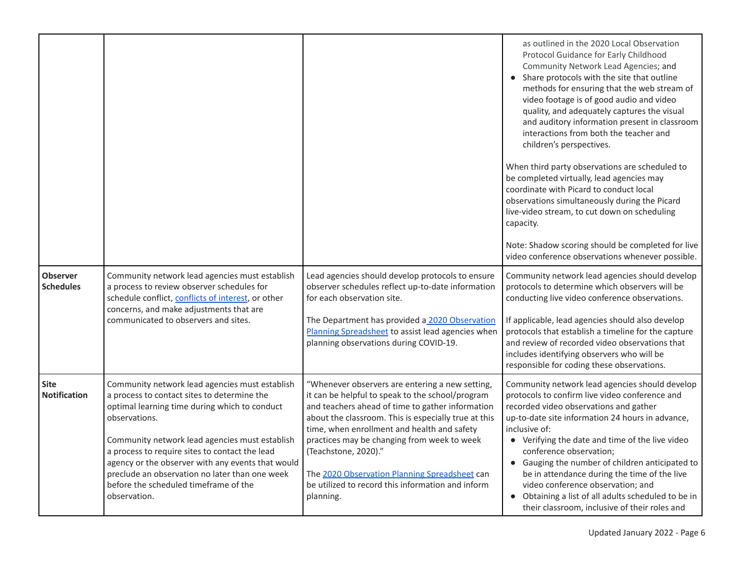<span id="page-5-1"></span><span id="page-5-0"></span>

|                                     |                                                                                                                                                                                                                                                                                                                                                                                                                                     |                                                                                                                                                                                                                                                                                                                                                                                                                                                          | as outlined in the 2020 Local Observation<br>Protocol Guidance for Early Childhood<br>Community Network Lead Agencies; and<br>Share protocols with the site that outline<br>methods for ensuring that the web stream of<br>video footage is of good audio and video<br>quality, and adequately captures the visual<br>and auditory information present in classroom<br>interactions from both the teacher and<br>children's perspectives.<br>When third party observations are scheduled to<br>be completed virtually, lead agencies may<br>coordinate with Picard to conduct local<br>observations simultaneously during the Picard<br>live-video stream, to cut down on scheduling<br>capacity.<br>Note: Shadow scoring should be completed for live<br>video conference observations whenever possible. |
|-------------------------------------|-------------------------------------------------------------------------------------------------------------------------------------------------------------------------------------------------------------------------------------------------------------------------------------------------------------------------------------------------------------------------------------------------------------------------------------|----------------------------------------------------------------------------------------------------------------------------------------------------------------------------------------------------------------------------------------------------------------------------------------------------------------------------------------------------------------------------------------------------------------------------------------------------------|------------------------------------------------------------------------------------------------------------------------------------------------------------------------------------------------------------------------------------------------------------------------------------------------------------------------------------------------------------------------------------------------------------------------------------------------------------------------------------------------------------------------------------------------------------------------------------------------------------------------------------------------------------------------------------------------------------------------------------------------------------------------------------------------------------|
| <b>Observer</b><br><b>Schedules</b> | Community network lead agencies must establish<br>a process to review observer schedules for<br>schedule conflict, conflicts of interest, or other<br>concerns, and make adjustments that are<br>communicated to observers and sites.                                                                                                                                                                                               | Lead agencies should develop protocols to ensure<br>observer schedules reflect up-to-date information<br>for each observation site.<br>The Department has provided a 2020 Observation<br>Planning Spreadsheet to assist lead agencies when<br>planning observations during COVID-19.                                                                                                                                                                     | Community network lead agencies should develop<br>protocols to determine which observers will be<br>conducting live video conference observations.<br>If applicable, lead agencies should also develop<br>protocols that establish a timeline for the capture<br>and review of recorded video observations that<br>includes identifying observers who will be<br>responsible for coding these observations.                                                                                                                                                                                                                                                                                                                                                                                                |
| <b>Site</b><br><b>Notification</b>  | Community network lead agencies must establish<br>a process to contact sites to determine the<br>optimal learning time during which to conduct<br>observations.<br>Community network lead agencies must establish<br>a process to require sites to contact the lead<br>agency or the observer with any events that would<br>preclude an observation no later than one week<br>before the scheduled timeframe of the<br>observation. | "Whenever observers are entering a new setting,<br>it can be helpful to speak to the school/program<br>and teachers ahead of time to gather information<br>about the classroom. This is especially true at this<br>time, when enrollment and health and safety<br>practices may be changing from week to week<br>(Teachstone, 2020)."<br>The 2020 Observation Planning Spreadsheet can<br>be utilized to record this information and inform<br>planning. | Community network lead agencies should develop<br>protocols to confirm live video conference and<br>recorded video observations and gather<br>up-to-date site information 24 hours in advance,<br>inclusive of:<br>• Verifying the date and time of the live video<br>conference observation;<br>• Gauging the number of children anticipated to<br>be in attendance during the time of the live<br>video conference observation; and<br>Obtaining a list of all adults scheduled to be in<br>their classroom, inclusive of their roles and                                                                                                                                                                                                                                                                |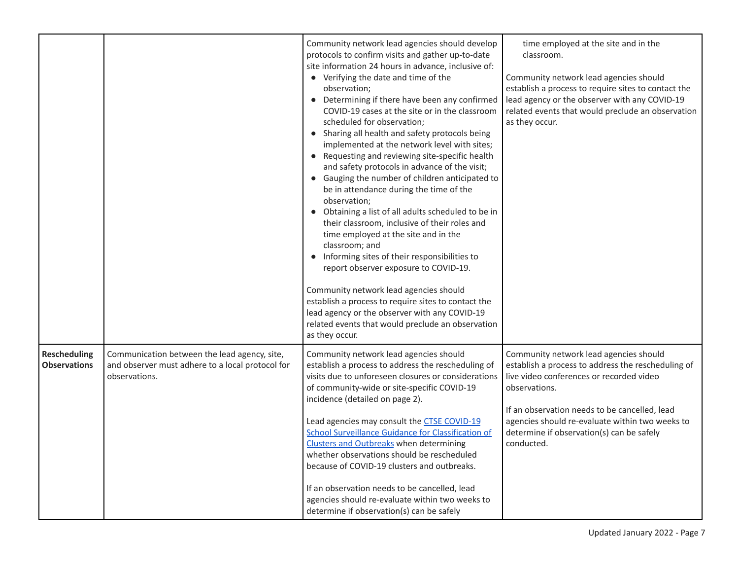<span id="page-6-0"></span>

|                                            |                                                                                                                   | Community network lead agencies should develop<br>protocols to confirm visits and gather up-to-date<br>site information 24 hours in advance, inclusive of:<br>• Verifying the date and time of the<br>observation;<br>• Determining if there have been any confirmed<br>COVID-19 cases at the site or in the classroom<br>scheduled for observation;<br>• Sharing all health and safety protocols being<br>implemented at the network level with sites;<br>• Requesting and reviewing site-specific health<br>and safety protocols in advance of the visit;<br>• Gauging the number of children anticipated to<br>be in attendance during the time of the<br>observation;<br>• Obtaining a list of all adults scheduled to be in<br>their classroom, inclusive of their roles and<br>time employed at the site and in the<br>classroom; and<br>• Informing sites of their responsibilities to<br>report observer exposure to COVID-19.<br>Community network lead agencies should<br>establish a process to require sites to contact the<br>lead agency or the observer with any COVID-19<br>related events that would preclude an observation<br>as they occur. | time employed at the site and in the<br>classroom.<br>Community network lead agencies should<br>establish a process to require sites to contact the<br>lead agency or the observer with any COVID-19<br>related events that would preclude an observation<br>as they occur.                                              |
|--------------------------------------------|-------------------------------------------------------------------------------------------------------------------|-----------------------------------------------------------------------------------------------------------------------------------------------------------------------------------------------------------------------------------------------------------------------------------------------------------------------------------------------------------------------------------------------------------------------------------------------------------------------------------------------------------------------------------------------------------------------------------------------------------------------------------------------------------------------------------------------------------------------------------------------------------------------------------------------------------------------------------------------------------------------------------------------------------------------------------------------------------------------------------------------------------------------------------------------------------------------------------------------------------------------------------------------------------------|--------------------------------------------------------------------------------------------------------------------------------------------------------------------------------------------------------------------------------------------------------------------------------------------------------------------------|
| <b>Rescheduling</b><br><b>Observations</b> | Communication between the lead agency, site,<br>and observer must adhere to a local protocol for<br>observations. | Community network lead agencies should<br>establish a process to address the rescheduling of<br>visits due to unforeseen closures or considerations<br>of community-wide or site-specific COVID-19<br>incidence (detailed on page 2).<br>Lead agencies may consult the CTSE COVID-19<br><b>School Surveillance Guidance for Classification of</b><br><b>Clusters and Outbreaks when determining</b><br>whether observations should be rescheduled<br>because of COVID-19 clusters and outbreaks.<br>If an observation needs to be cancelled, lead<br>agencies should re-evaluate within two weeks to<br>determine if observation(s) can be safely                                                                                                                                                                                                                                                                                                                                                                                                                                                                                                               | Community network lead agencies should<br>establish a process to address the rescheduling of<br>live video conferences or recorded video<br>observations.<br>If an observation needs to be cancelled, lead<br>agencies should re-evaluate within two weeks to<br>determine if observation(s) can be safely<br>conducted. |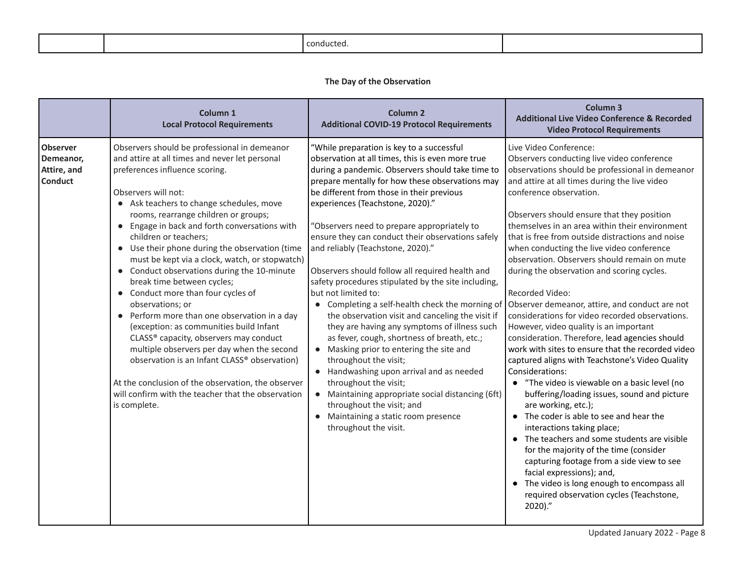<span id="page-7-0"></span>

|  | זוחו |  |
|--|------|--|
|--|------|--|

# **The Day of the Observation**

<span id="page-7-1"></span>

|                                                               | Column <sub>1</sub><br><b>Local Protocol Requirements</b>                                                                                                                                                                                                                                                                                                                                                                                                                                                                                                                                                                                                                                                                                                                                                                                                                                                                       | Column <sub>2</sub><br><b>Additional COVID-19 Protocol Requirements</b>                                                                                                                                                                                                                                                                                                                                                                                                                                                                                                                                                                                                                                                                                                                                                                                                                                                                                                                                                                                          | Column <sub>3</sub><br><b>Additional Live Video Conference &amp; Recorded</b><br><b>Video Protocol Requirements</b>                                                                                                                                                                                                                                                                                                                                                                                                                                                                                                                                                                                                                                                                                                                                                                                                                                                                                                                                                                                                                                                                                                                                                                                                            |
|---------------------------------------------------------------|---------------------------------------------------------------------------------------------------------------------------------------------------------------------------------------------------------------------------------------------------------------------------------------------------------------------------------------------------------------------------------------------------------------------------------------------------------------------------------------------------------------------------------------------------------------------------------------------------------------------------------------------------------------------------------------------------------------------------------------------------------------------------------------------------------------------------------------------------------------------------------------------------------------------------------|------------------------------------------------------------------------------------------------------------------------------------------------------------------------------------------------------------------------------------------------------------------------------------------------------------------------------------------------------------------------------------------------------------------------------------------------------------------------------------------------------------------------------------------------------------------------------------------------------------------------------------------------------------------------------------------------------------------------------------------------------------------------------------------------------------------------------------------------------------------------------------------------------------------------------------------------------------------------------------------------------------------------------------------------------------------|--------------------------------------------------------------------------------------------------------------------------------------------------------------------------------------------------------------------------------------------------------------------------------------------------------------------------------------------------------------------------------------------------------------------------------------------------------------------------------------------------------------------------------------------------------------------------------------------------------------------------------------------------------------------------------------------------------------------------------------------------------------------------------------------------------------------------------------------------------------------------------------------------------------------------------------------------------------------------------------------------------------------------------------------------------------------------------------------------------------------------------------------------------------------------------------------------------------------------------------------------------------------------------------------------------------------------------|
| <b>Observer</b><br>Demeanor,<br>Attire, and<br><b>Conduct</b> | Observers should be professional in demeanor<br>and attire at all times and never let personal<br>preferences influence scoring.<br>Observers will not:<br>• Ask teachers to change schedules, move<br>rooms, rearrange children or groups;<br>• Engage in back and forth conversations with<br>children or teachers;<br>• Use their phone during the observation (time<br>must be kept via a clock, watch, or stopwatch)<br>• Conduct observations during the 10-minute<br>break time between cycles;<br>• Conduct more than four cycles of<br>observations; or<br>• Perform more than one observation in a day<br>(exception: as communities build Infant<br>CLASS® capacity, observers may conduct<br>multiple observers per day when the second<br>observation is an Infant CLASS® observation)<br>At the conclusion of the observation, the observer<br>will confirm with the teacher that the observation<br>is complete. | "While preparation is key to a successful<br>observation at all times, this is even more true<br>during a pandemic. Observers should take time to<br>prepare mentally for how these observations may<br>be different from those in their previous<br>experiences (Teachstone, 2020)."<br>"Observers need to prepare appropriately to<br>ensure they can conduct their observations safely<br>and reliably (Teachstone, 2020)."<br>Observers should follow all required health and<br>safety procedures stipulated by the site including,<br>but not limited to:<br>• Completing a self-health check the morning of<br>the observation visit and canceling the visit if<br>they are having any symptoms of illness such<br>as fever, cough, shortness of breath, etc.;<br>• Masking prior to entering the site and<br>throughout the visit;<br>• Handwashing upon arrival and as needed<br>throughout the visit;<br>• Maintaining appropriate social distancing (6ft)<br>throughout the visit; and<br>Maintaining a static room presence<br>throughout the visit. | Live Video Conference:<br>Observers conducting live video conference<br>observations should be professional in demeanor<br>and attire at all times during the live video<br>conference observation.<br>Observers should ensure that they position<br>themselves in an area within their environment<br>that is free from outside distractions and noise<br>when conducting the live video conference<br>observation. Observers should remain on mute<br>during the observation and scoring cycles.<br>Recorded Video:<br>Observer demeanor, attire, and conduct are not<br>considerations for video recorded observations.<br>However, video quality is an important<br>consideration. Therefore, lead agencies should<br>work with sites to ensure that the recorded video<br>captured aligns with Teachstone's Video Quality<br>Considerations:<br>• "The video is viewable on a basic level (no<br>buffering/loading issues, sound and picture<br>are working, etc.);<br>• The coder is able to see and hear the<br>interactions taking place;<br>• The teachers and some students are visible<br>for the majority of the time (consider<br>capturing footage from a side view to see<br>facial expressions); and,<br>• The video is long enough to encompass all<br>required observation cycles (Teachstone,<br>$2020$ )." |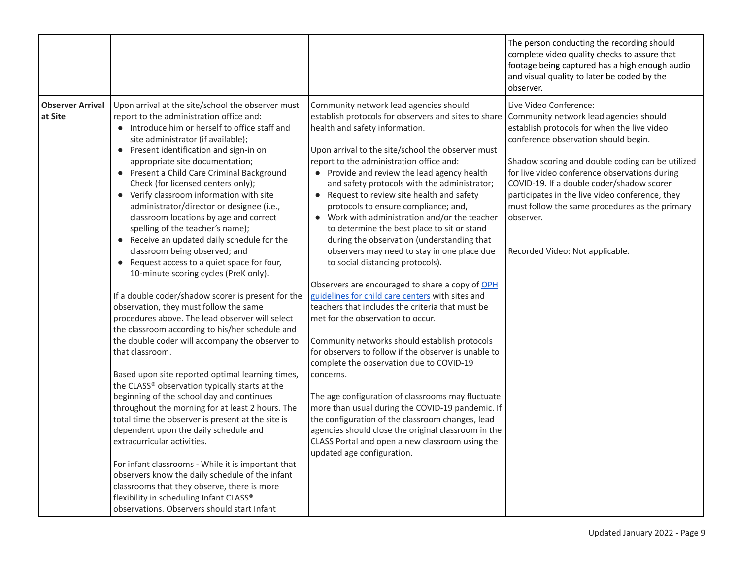<span id="page-8-0"></span>

|                                    |                                                                                                                                                                                                                                                                                                                                                                                                                                                                                                                                                                                                                                                                                                                                                                                                                                                                                                                                                                                                                                                                                                                                                                                                                                                                                                                                                                                                                                                                                                                                                                          |                                                                                                                                                                                                                                                                                                                                                                                                                                                                                                                                                                                                                                                                                                                                                                                                                                                                                                                                                                                                                                                                                                                                                                                                                                                                                                                                | The person conducting the recording should<br>complete video quality checks to assure that<br>footage being captured has a high enough audio<br>and visual quality to later be coded by the<br>observer.                                                                                                                                                                                                                                                       |
|------------------------------------|--------------------------------------------------------------------------------------------------------------------------------------------------------------------------------------------------------------------------------------------------------------------------------------------------------------------------------------------------------------------------------------------------------------------------------------------------------------------------------------------------------------------------------------------------------------------------------------------------------------------------------------------------------------------------------------------------------------------------------------------------------------------------------------------------------------------------------------------------------------------------------------------------------------------------------------------------------------------------------------------------------------------------------------------------------------------------------------------------------------------------------------------------------------------------------------------------------------------------------------------------------------------------------------------------------------------------------------------------------------------------------------------------------------------------------------------------------------------------------------------------------------------------------------------------------------------------|--------------------------------------------------------------------------------------------------------------------------------------------------------------------------------------------------------------------------------------------------------------------------------------------------------------------------------------------------------------------------------------------------------------------------------------------------------------------------------------------------------------------------------------------------------------------------------------------------------------------------------------------------------------------------------------------------------------------------------------------------------------------------------------------------------------------------------------------------------------------------------------------------------------------------------------------------------------------------------------------------------------------------------------------------------------------------------------------------------------------------------------------------------------------------------------------------------------------------------------------------------------------------------------------------------------------------------|----------------------------------------------------------------------------------------------------------------------------------------------------------------------------------------------------------------------------------------------------------------------------------------------------------------------------------------------------------------------------------------------------------------------------------------------------------------|
| <b>Observer Arrival</b><br>at Site | Upon arrival at the site/school the observer must<br>report to the administration office and:<br>• Introduce him or herself to office staff and<br>site administrator (if available);<br>• Present identification and sign-in on<br>appropriate site documentation;<br>• Present a Child Care Criminal Background<br>Check (for licensed centers only);<br>• Verify classroom information with site<br>administrator/director or designee (i.e.,<br>classroom locations by age and correct<br>spelling of the teacher's name);<br>• Receive an updated daily schedule for the<br>classroom being observed; and<br>• Request access to a quiet space for four,<br>10-minute scoring cycles (PreK only).<br>If a double coder/shadow scorer is present for the<br>observation, they must follow the same<br>procedures above. The lead observer will select<br>the classroom according to his/her schedule and<br>the double coder will accompany the observer to<br>that classroom.<br>Based upon site reported optimal learning times,<br>the CLASS® observation typically starts at the<br>beginning of the school day and continues<br>throughout the morning for at least 2 hours. The<br>total time the observer is present at the site is<br>dependent upon the daily schedule and<br>extracurricular activities.<br>For infant classrooms - While it is important that<br>observers know the daily schedule of the infant<br>classrooms that they observe, there is more<br>flexibility in scheduling Infant CLASS®<br>observations. Observers should start Infant | Community network lead agencies should<br>establish protocols for observers and sites to share<br>health and safety information.<br>Upon arrival to the site/school the observer must<br>report to the administration office and:<br>• Provide and review the lead agency health<br>and safety protocols with the administrator;<br>• Request to review site health and safety<br>protocols to ensure compliance; and,<br>• Work with administration and/or the teacher<br>to determine the best place to sit or stand<br>during the observation (understanding that<br>observers may need to stay in one place due<br>to social distancing protocols).<br>Observers are encouraged to share a copy of OPH<br>guidelines for child care centers with sites and<br>teachers that includes the criteria that must be<br>met for the observation to occur.<br>Community networks should establish protocols<br>for observers to follow if the observer is unable to<br>complete the observation due to COVID-19<br>concerns.<br>The age configuration of classrooms may fluctuate<br>more than usual during the COVID-19 pandemic. If<br>the configuration of the classroom changes, lead<br>agencies should close the original classroom in the<br>CLASS Portal and open a new classroom using the<br>updated age configuration. | Live Video Conference:<br>Community network lead agencies should<br>establish protocols for when the live video<br>conference observation should begin.<br>Shadow scoring and double coding can be utilized<br>for live video conference observations during<br>COVID-19. If a double coder/shadow scorer<br>participates in the live video conference, they<br>must follow the same procedures as the primary<br>observer.<br>Recorded Video: Not applicable. |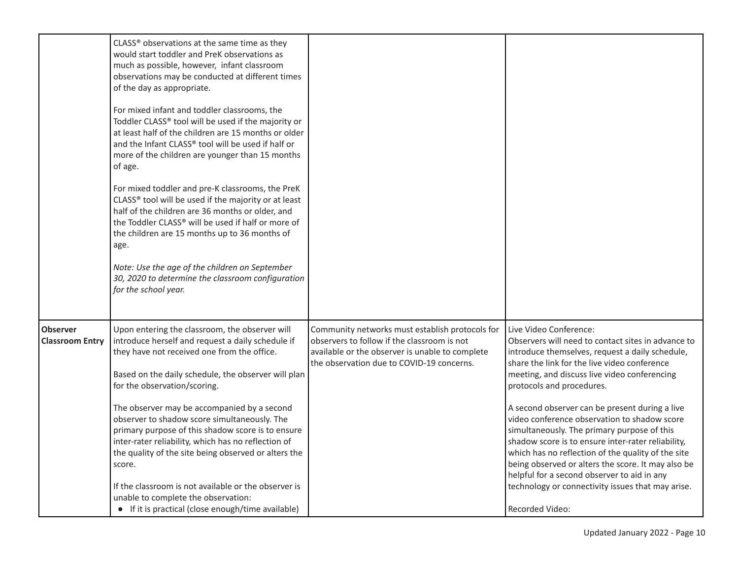<span id="page-9-0"></span>

|                                           | CLASS® observations at the same time as they<br>would start toddler and PreK observations as<br>much as possible, however, infant classroom<br>observations may be conducted at different times<br>of the day as appropriate.<br>For mixed infant and toddler classrooms, the<br>Toddler CLASS® tool will be used if the majority or<br>at least half of the children are 15 months or older<br>and the Infant CLASS® tool will be used if half or<br>more of the children are younger than 15 months<br>of age.<br>For mixed toddler and pre-K classrooms, the PreK<br>CLASS® tool will be used if the majority or at least<br>half of the children are 36 months or older, and<br>the Toddler CLASS® will be used if half or more of<br>the children are 15 months up to 36 months of<br>age.<br>Note: Use the age of the children on September<br>30, 2020 to determine the classroom configuration<br>for the school year. |                                                                                                                                                                                                |                                                                                                                                                                                                                                                                                                                                                                                                                                                                                                                                                                                                                                                                                                        |
|-------------------------------------------|--------------------------------------------------------------------------------------------------------------------------------------------------------------------------------------------------------------------------------------------------------------------------------------------------------------------------------------------------------------------------------------------------------------------------------------------------------------------------------------------------------------------------------------------------------------------------------------------------------------------------------------------------------------------------------------------------------------------------------------------------------------------------------------------------------------------------------------------------------------------------------------------------------------------------------|------------------------------------------------------------------------------------------------------------------------------------------------------------------------------------------------|--------------------------------------------------------------------------------------------------------------------------------------------------------------------------------------------------------------------------------------------------------------------------------------------------------------------------------------------------------------------------------------------------------------------------------------------------------------------------------------------------------------------------------------------------------------------------------------------------------------------------------------------------------------------------------------------------------|
| <b>Observer</b><br><b>Classroom Entry</b> | Upon entering the classroom, the observer will<br>introduce herself and request a daily schedule if<br>they have not received one from the office.<br>Based on the daily schedule, the observer will plan<br>for the observation/scoring.<br>The observer may be accompanied by a second<br>observer to shadow score simultaneously. The<br>primary purpose of this shadow score is to ensure<br>inter-rater reliability, which has no reflection of<br>the quality of the site being observed or alters the<br>score.<br>If the classroom is not available or the observer is<br>unable to complete the observation:<br>• If it is practical (close enough/time available)                                                                                                                                                                                                                                                    | Community networks must establish protocols for<br>observers to follow if the classroom is not<br>available or the observer is unable to complete<br>the observation due to COVID-19 concerns. | Live Video Conference:<br>Observers will need to contact sites in advance to<br>introduce themselves, request a daily schedule,<br>share the link for the live video conference<br>meeting, and discuss live video conferencing<br>protocols and procedures.<br>A second observer can be present during a live<br>video conference observation to shadow score<br>simultaneously. The primary purpose of this<br>shadow score is to ensure inter-rater reliability,<br>which has no reflection of the quality of the site<br>being observed or alters the score. It may also be<br>helpful for a second observer to aid in any<br>technology or connectivity issues that may arise.<br>Recorded Video: |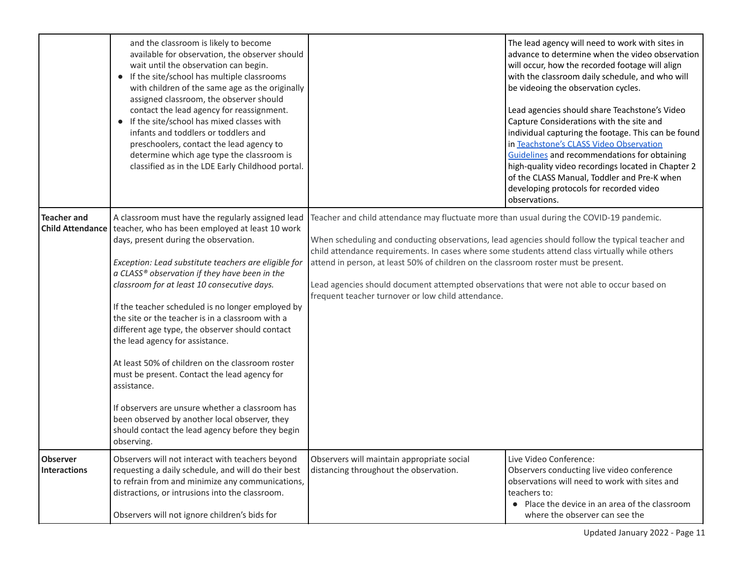<span id="page-10-1"></span><span id="page-10-0"></span>

|                                               | and the classroom is likely to become<br>available for observation, the observer should<br>wait until the observation can begin.<br>• If the site/school has multiple classrooms<br>with children of the same age as the originally<br>assigned classroom, the observer should<br>contact the lead agency for reassignment.<br>• If the site/school has mixed classes with<br>infants and toddlers or toddlers and<br>preschoolers, contact the lead agency to<br>determine which age type the classroom is<br>classified as in the LDE Early Childhood portal.                                                                                                                                                                                                                               |                                                                                                                                                                                                                                                                                                                                                                                                                                                                                                                                           | The lead agency will need to work with sites in<br>advance to determine when the video observation<br>will occur, how the recorded footage will align<br>with the classroom daily schedule, and who will<br>be videoing the observation cycles.<br>Lead agencies should share Teachstone's Video<br>Capture Considerations with the site and<br>individual capturing the footage. This can be found<br>in Teachstone's CLASS Video Observation<br>Guidelines and recommendations for obtaining<br>high-quality video recordings located in Chapter 2<br>of the CLASS Manual, Toddler and Pre-K when<br>developing protocols for recorded video<br>observations. |
|-----------------------------------------------|-----------------------------------------------------------------------------------------------------------------------------------------------------------------------------------------------------------------------------------------------------------------------------------------------------------------------------------------------------------------------------------------------------------------------------------------------------------------------------------------------------------------------------------------------------------------------------------------------------------------------------------------------------------------------------------------------------------------------------------------------------------------------------------------------|-------------------------------------------------------------------------------------------------------------------------------------------------------------------------------------------------------------------------------------------------------------------------------------------------------------------------------------------------------------------------------------------------------------------------------------------------------------------------------------------------------------------------------------------|-----------------------------------------------------------------------------------------------------------------------------------------------------------------------------------------------------------------------------------------------------------------------------------------------------------------------------------------------------------------------------------------------------------------------------------------------------------------------------------------------------------------------------------------------------------------------------------------------------------------------------------------------------------------|
| <b>Teacher and</b><br><b>Child Attendance</b> | A classroom must have the regularly assigned lead<br>teacher, who has been employed at least 10 work<br>days, present during the observation.<br>Exception: Lead substitute teachers are eligible for<br>a CLASS® observation if they have been in the<br>classroom for at least 10 consecutive days.<br>If the teacher scheduled is no longer employed by<br>the site or the teacher is in a classroom with a<br>different age type, the observer should contact<br>the lead agency for assistance.<br>At least 50% of children on the classroom roster<br>must be present. Contact the lead agency for<br>assistance.<br>If observers are unsure whether a classroom has<br>been observed by another local observer, they<br>should contact the lead agency before they begin<br>observing. | Teacher and child attendance may fluctuate more than usual during the COVID-19 pandemic.<br>When scheduling and conducting observations, lead agencies should follow the typical teacher and<br>child attendance requirements. In cases where some students attend class virtually while others<br>attend in person, at least 50% of children on the classroom roster must be present.<br>Lead agencies should document attempted observations that were not able to occur based on<br>frequent teacher turnover or low child attendance. |                                                                                                                                                                                                                                                                                                                                                                                                                                                                                                                                                                                                                                                                 |
| <b>Observer</b><br><b>Interactions</b>        | Observers will not interact with teachers beyond<br>requesting a daily schedule, and will do their best<br>to refrain from and minimize any communications,<br>distractions, or intrusions into the classroom.<br>Observers will not ignore children's bids for                                                                                                                                                                                                                                                                                                                                                                                                                                                                                                                               | Observers will maintain appropriate social<br>distancing throughout the observation.                                                                                                                                                                                                                                                                                                                                                                                                                                                      | Live Video Conference:<br>Observers conducting live video conference<br>observations will need to work with sites and<br>teachers to:<br>• Place the device in an area of the classroom<br>where the observer can see the                                                                                                                                                                                                                                                                                                                                                                                                                                       |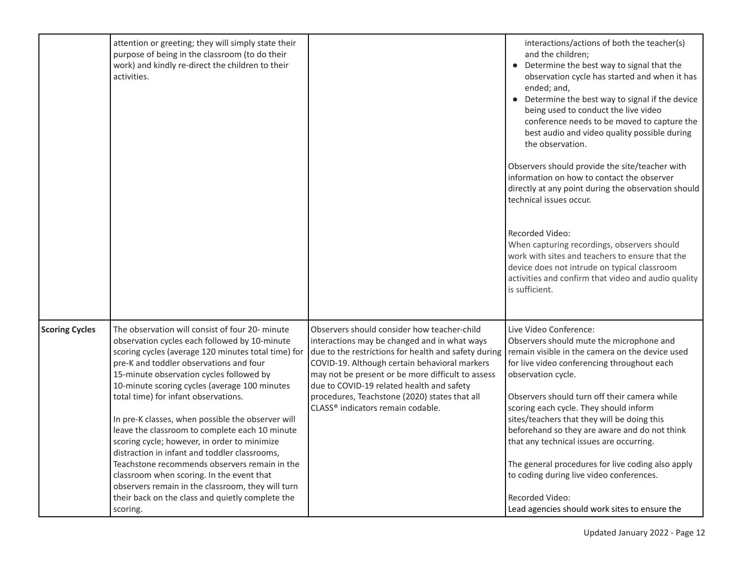<span id="page-11-0"></span>

|                       | attention or greeting; they will simply state their<br>purpose of being in the classroom (to do their<br>work) and kindly re-direct the children to their<br>activities.                                                                                                                                                                                                                                                                                                                                                                                                                                                                                                                                        |                                                                                                                                                                                                                                                                                                                                                           | interactions/actions of both the teacher(s)<br>and the children;<br>• Determine the best way to signal that the<br>observation cycle has started and when it has<br>ended; and,<br>• Determine the best way to signal if the device<br>being used to conduct the live video<br>conference needs to be moved to capture the<br>best audio and video quality possible during<br>the observation.<br>Observers should provide the site/teacher with<br>information on how to contact the observer<br>directly at any point during the observation should<br>technical issues occur.<br>Recorded Video:<br>When capturing recordings, observers should<br>work with sites and teachers to ensure that the<br>device does not intrude on typical classroom |
|-----------------------|-----------------------------------------------------------------------------------------------------------------------------------------------------------------------------------------------------------------------------------------------------------------------------------------------------------------------------------------------------------------------------------------------------------------------------------------------------------------------------------------------------------------------------------------------------------------------------------------------------------------------------------------------------------------------------------------------------------------|-----------------------------------------------------------------------------------------------------------------------------------------------------------------------------------------------------------------------------------------------------------------------------------------------------------------------------------------------------------|-------------------------------------------------------------------------------------------------------------------------------------------------------------------------------------------------------------------------------------------------------------------------------------------------------------------------------------------------------------------------------------------------------------------------------------------------------------------------------------------------------------------------------------------------------------------------------------------------------------------------------------------------------------------------------------------------------------------------------------------------------|
| <b>Scoring Cycles</b> | The observation will consist of four 20- minute                                                                                                                                                                                                                                                                                                                                                                                                                                                                                                                                                                                                                                                                 | Observers should consider how teacher-child                                                                                                                                                                                                                                                                                                               | activities and confirm that video and audio quality<br>is sufficient.<br>Live Video Conference:                                                                                                                                                                                                                                                                                                                                                                                                                                                                                                                                                                                                                                                       |
|                       | observation cycles each followed by 10-minute<br>scoring cycles (average 120 minutes total time) for<br>pre-K and toddler observations and four<br>15-minute observation cycles followed by<br>10-minute scoring cycles (average 100 minutes<br>total time) for infant observations.<br>In pre-K classes, when possible the observer will<br>leave the classroom to complete each 10 minute<br>scoring cycle; however, in order to minimize<br>distraction in infant and toddler classrooms,<br>Teachstone recommends observers remain in the<br>classroom when scoring. In the event that<br>observers remain in the classroom, they will turn<br>their back on the class and quietly complete the<br>scoring. | interactions may be changed and in what ways<br>due to the restrictions for health and safety during<br>COVID-19. Although certain behavioral markers<br>may not be present or be more difficult to assess<br>due to COVID-19 related health and safety<br>procedures, Teachstone (2020) states that all<br>CLASS <sup>®</sup> indicators remain codable. | Observers should mute the microphone and<br>remain visible in the camera on the device used<br>for live video conferencing throughout each<br>observation cycle.<br>Observers should turn off their camera while<br>scoring each cycle. They should inform<br>sites/teachers that they will be doing this<br>beforehand so they are aware and do not think<br>that any technical issues are occurring.<br>The general procedures for live coding also apply<br>to coding during live video conferences.<br>Recorded Video:<br>Lead agencies should work sites to ensure the                                                                                                                                                                           |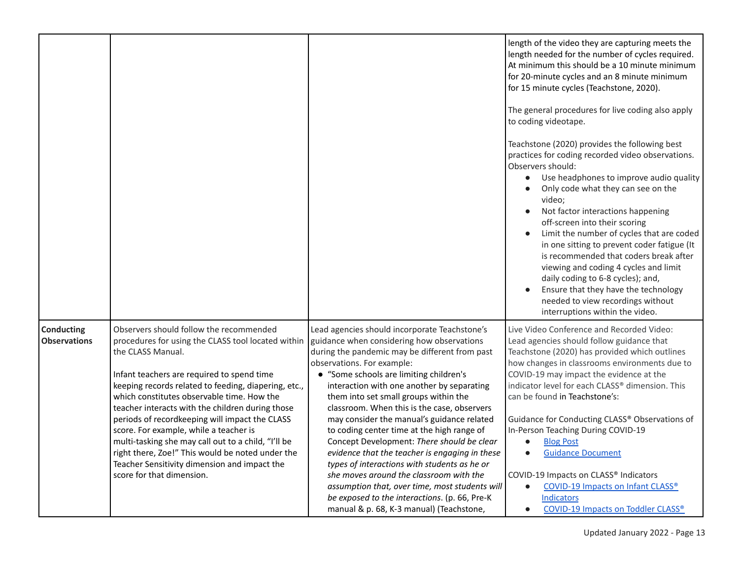<span id="page-12-0"></span>

|                                   |                                                                                                                                                                                                                                                                                                                                                                                                                                                                                                                                                                                                                |                                                                                                                                                                                                                                                                                                                                                                                                                                                                                                                                                                                                                                                                                                                                                                                                    | length of the video they are capturing meets the<br>length needed for the number of cycles required.<br>At minimum this should be a 10 minute minimum<br>for 20-minute cycles and an 8 minute minimum<br>for 15 minute cycles (Teachstone, 2020).<br>The general procedures for live coding also apply<br>to coding videotape.<br>Teachstone (2020) provides the following best<br>practices for coding recorded video observations.<br>Observers should:<br>Use headphones to improve audio quality<br>Only code what they can see on the<br>video;<br>Not factor interactions happening<br>$\bullet$<br>off-screen into their scoring<br>Limit the number of cycles that are coded<br>in one sitting to prevent coder fatigue (It<br>is recommended that coders break after<br>viewing and coding 4 cycles and limit<br>daily coding to 6-8 cycles); and,<br>Ensure that they have the technology<br>needed to view recordings without<br>interruptions within the video. |
|-----------------------------------|----------------------------------------------------------------------------------------------------------------------------------------------------------------------------------------------------------------------------------------------------------------------------------------------------------------------------------------------------------------------------------------------------------------------------------------------------------------------------------------------------------------------------------------------------------------------------------------------------------------|----------------------------------------------------------------------------------------------------------------------------------------------------------------------------------------------------------------------------------------------------------------------------------------------------------------------------------------------------------------------------------------------------------------------------------------------------------------------------------------------------------------------------------------------------------------------------------------------------------------------------------------------------------------------------------------------------------------------------------------------------------------------------------------------------|-----------------------------------------------------------------------------------------------------------------------------------------------------------------------------------------------------------------------------------------------------------------------------------------------------------------------------------------------------------------------------------------------------------------------------------------------------------------------------------------------------------------------------------------------------------------------------------------------------------------------------------------------------------------------------------------------------------------------------------------------------------------------------------------------------------------------------------------------------------------------------------------------------------------------------------------------------------------------------|
| Conducting<br><b>Observations</b> | Observers should follow the recommended<br>procedures for using the CLASS tool located within<br>the CLASS Manual.<br>Infant teachers are required to spend time<br>keeping records related to feeding, diapering, etc.,<br>which constitutes observable time. How the<br>teacher interacts with the children during those<br>periods of recordkeeping will impact the CLASS<br>score. For example, while a teacher is<br>multi-tasking she may call out to a child, "I'll be<br>right there, Zoe!" This would be noted under the<br>Teacher Sensitivity dimension and impact the<br>score for that dimension. | Lead agencies should incorporate Teachstone's<br>guidance when considering how observations<br>during the pandemic may be different from past<br>observations. For example:<br>• "Some schools are limiting children's<br>interaction with one another by separating<br>them into set small groups within the<br>classroom. When this is the case, observers<br>may consider the manual's guidance related<br>to coding center time at the high range of<br>Concept Development: There should be clear<br>evidence that the teacher is engaging in these<br>types of interactions with students as he or<br>she moves around the classroom with the<br>assumption that, over time, most students will<br>be exposed to the interactions. (p. 66, Pre-K<br>manual & p. 68, K-3 manual) (Teachstone, | Live Video Conference and Recorded Video:<br>Lead agencies should follow guidance that<br>Teachstone (2020) has provided which outlines<br>how changes in classrooms environments due to<br>COVID-19 may impact the evidence at the<br>indicator level for each CLASS® dimension. This<br>can be found in Teachstone's:<br>Guidance for Conducting CLASS® Observations of<br>In-Person Teaching During COVID-19<br><b>Blog Post</b><br>$\bullet$<br><b>Guidance Document</b><br>$\bullet$<br>COVID-19 Impacts on CLASS® Indicators<br><b>COVID-19 Impacts on Infant CLASS®</b><br>$\bullet$<br><b>Indicators</b><br><b>COVID-19 Impacts on Toddler CLASS®</b><br>$\bullet$                                                                                                                                                                                                                                                                                                  |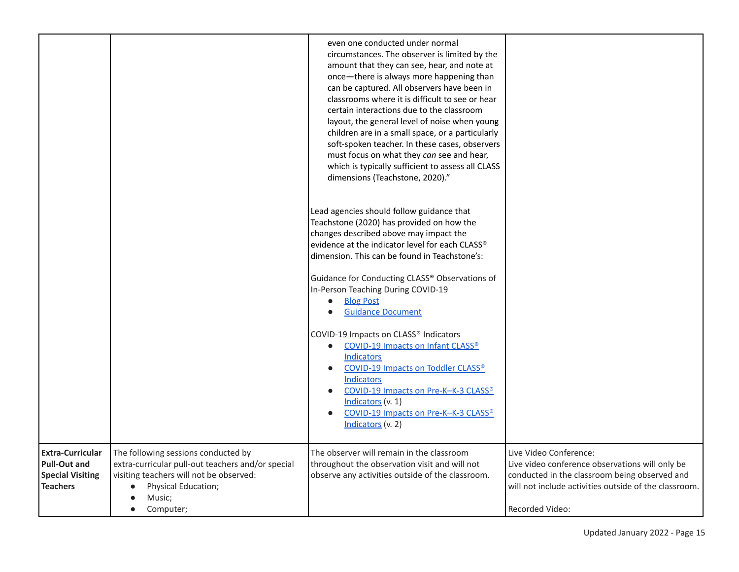<span id="page-14-0"></span>

|                                                                                              |                                                                                                                                                                                                             | even one conducted under normal<br>circumstances. The observer is limited by the<br>amount that they can see, hear, and note at<br>once-there is always more happening than<br>can be captured. All observers have been in<br>classrooms where it is difficult to see or hear<br>certain interactions due to the classroom<br>layout, the general level of noise when young<br>children are in a small space, or a particularly<br>soft-spoken teacher. In these cases, observers<br>must focus on what they can see and hear,<br>which is typically sufficient to assess all CLASS<br>dimensions (Teachstone, 2020)." |                                                                                                                                                                                                               |
|----------------------------------------------------------------------------------------------|-------------------------------------------------------------------------------------------------------------------------------------------------------------------------------------------------------------|------------------------------------------------------------------------------------------------------------------------------------------------------------------------------------------------------------------------------------------------------------------------------------------------------------------------------------------------------------------------------------------------------------------------------------------------------------------------------------------------------------------------------------------------------------------------------------------------------------------------|---------------------------------------------------------------------------------------------------------------------------------------------------------------------------------------------------------------|
|                                                                                              |                                                                                                                                                                                                             | Lead agencies should follow guidance that<br>Teachstone (2020) has provided on how the<br>changes described above may impact the<br>evidence at the indicator level for each CLASS®<br>dimension. This can be found in Teachstone's:                                                                                                                                                                                                                                                                                                                                                                                   |                                                                                                                                                                                                               |
|                                                                                              |                                                                                                                                                                                                             | Guidance for Conducting CLASS® Observations of<br>In-Person Teaching During COVID-19<br><b>Blog Post</b><br>$\bullet$<br><b>Guidance Document</b><br>$\bullet$                                                                                                                                                                                                                                                                                                                                                                                                                                                         |                                                                                                                                                                                                               |
|                                                                                              |                                                                                                                                                                                                             | COVID-19 Impacts on CLASS® Indicators<br><b>COVID-19 Impacts on Infant CLASS®</b><br>$\bullet$<br>Indicators<br><b>COVID-19 Impacts on Toddler CLASS®</b><br>$\bullet$<br><b>Indicators</b><br><b>COVID-19 Impacts on Pre-K-K-3 CLASS®</b><br>$\bullet$<br>Indicators (v. 1)<br>COVID-19 Impacts on Pre-K-K-3 CLASS®<br>$\bullet$<br>Indicators (v. 2)                                                                                                                                                                                                                                                                 |                                                                                                                                                                                                               |
| <b>Extra-Curricular</b><br><b>Pull-Out and</b><br><b>Special Visiting</b><br><b>Teachers</b> | The following sessions conducted by<br>extra-curricular pull-out teachers and/or special<br>visiting teachers will not be observed:<br>Physical Education;<br>$\bullet$<br>Music;<br>Computer;<br>$\bullet$ | The observer will remain in the classroom<br>throughout the observation visit and will not<br>observe any activities outside of the classroom.                                                                                                                                                                                                                                                                                                                                                                                                                                                                         | Live Video Conference:<br>Live video conference observations will only be<br>conducted in the classroom being observed and<br>will not include activities outside of the classroom.<br><b>Recorded Video:</b> |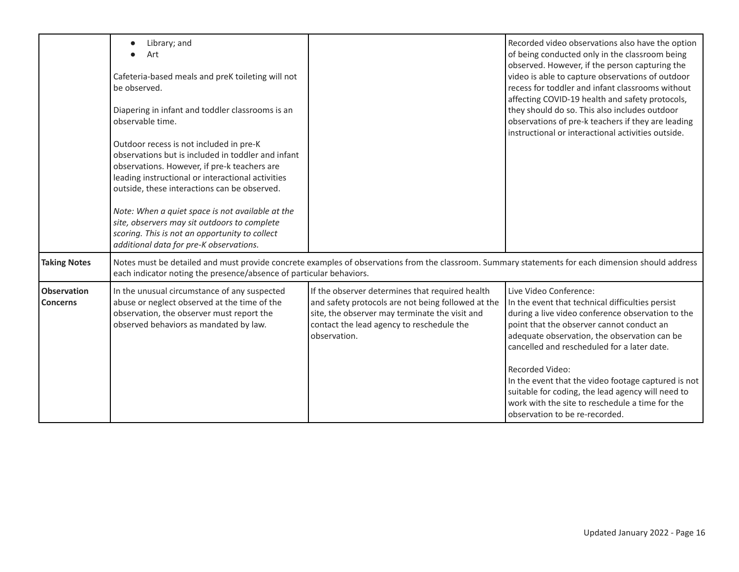<span id="page-15-2"></span><span id="page-15-1"></span><span id="page-15-0"></span>

|                                       | Library; and<br>$\bullet$<br>Art<br>Cafeteria-based meals and preK toileting will not<br>be observed.<br>Diapering in infant and toddler classrooms is an<br>observable time.<br>Outdoor recess is not included in pre-K<br>observations but is included in toddler and infant<br>observations. However, if pre-k teachers are<br>leading instructional or interactional activities<br>outside, these interactions can be observed.<br>Note: When a quiet space is not available at the<br>site, observers may sit outdoors to complete<br>scoring. This is not an opportunity to collect<br>additional data for pre-K observations. |                                                                                                                                                                                                                      | Recorded video observations also have the option<br>of being conducted only in the classroom being<br>observed. However, if the person capturing the<br>video is able to capture observations of outdoor<br>recess for toddler and infant classrooms without<br>affecting COVID-19 health and safety protocols,<br>they should do so. This also includes outdoor<br>observations of pre-k teachers if they are leading<br>instructional or interactional activities outside.                    |
|---------------------------------------|--------------------------------------------------------------------------------------------------------------------------------------------------------------------------------------------------------------------------------------------------------------------------------------------------------------------------------------------------------------------------------------------------------------------------------------------------------------------------------------------------------------------------------------------------------------------------------------------------------------------------------------|----------------------------------------------------------------------------------------------------------------------------------------------------------------------------------------------------------------------|-------------------------------------------------------------------------------------------------------------------------------------------------------------------------------------------------------------------------------------------------------------------------------------------------------------------------------------------------------------------------------------------------------------------------------------------------------------------------------------------------|
| <b>Taking Notes</b>                   | Notes must be detailed and must provide concrete examples of observations from the classroom. Summary statements for each dimension should address<br>each indicator noting the presence/absence of particular behaviors.                                                                                                                                                                                                                                                                                                                                                                                                            |                                                                                                                                                                                                                      |                                                                                                                                                                                                                                                                                                                                                                                                                                                                                                 |
| <b>Observation</b><br><b>Concerns</b> | In the unusual circumstance of any suspected<br>abuse or neglect observed at the time of the<br>observation, the observer must report the<br>observed behaviors as mandated by law.                                                                                                                                                                                                                                                                                                                                                                                                                                                  | If the observer determines that required health<br>and safety protocols are not being followed at the<br>site, the observer may terminate the visit and<br>contact the lead agency to reschedule the<br>observation. | Live Video Conference:<br>In the event that technical difficulties persist<br>during a live video conference observation to the<br>point that the observer cannot conduct an<br>adequate observation, the observation can be<br>cancelled and rescheduled for a later date.<br>Recorded Video:<br>In the event that the video footage captured is not<br>suitable for coding, the lead agency will need to<br>work with the site to reschedule a time for the<br>observation to be re-recorded. |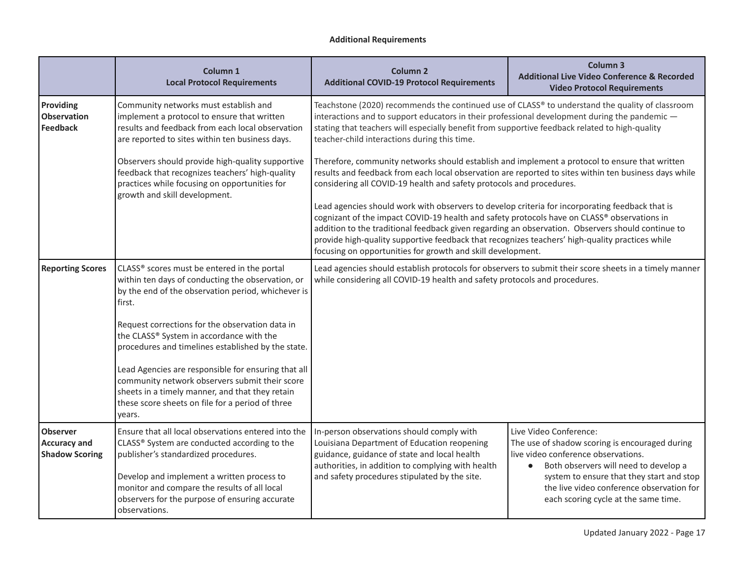## **Additional Requirements**

<span id="page-16-2"></span><span id="page-16-1"></span><span id="page-16-0"></span>

|                                                                 | Column 1<br><b>Local Protocol Requirements</b>                                                                                                                                                                         | <b>Column 2</b><br><b>Additional COVID-19 Protocol Requirements</b>                                                                                                                                                                                                                                                                                                                                                                                                   | Column <sub>3</sub><br><b>Additional Live Video Conference &amp; Recorded</b><br><b>Video Protocol Requirements</b>                                                   |
|-----------------------------------------------------------------|------------------------------------------------------------------------------------------------------------------------------------------------------------------------------------------------------------------------|-----------------------------------------------------------------------------------------------------------------------------------------------------------------------------------------------------------------------------------------------------------------------------------------------------------------------------------------------------------------------------------------------------------------------------------------------------------------------|-----------------------------------------------------------------------------------------------------------------------------------------------------------------------|
| Providing<br><b>Observation</b><br><b>Feedback</b>              | Community networks must establish and<br>implement a protocol to ensure that written<br>results and feedback from each local observation<br>are reported to sites within ten business days.                            | Teachstone (2020) recommends the continued use of CLASS® to understand the quality of classroom<br>interactions and to support educators in their professional development during the pandemic -<br>stating that teachers will especially benefit from supportive feedback related to high-quality<br>teacher-child interactions during this time.                                                                                                                    |                                                                                                                                                                       |
|                                                                 | Observers should provide high-quality supportive<br>feedback that recognizes teachers' high-quality<br>practices while focusing on opportunities for<br>growth and skill development.                                  | Therefore, community networks should establish and implement a protocol to ensure that written<br>results and feedback from each local observation are reported to sites within ten business days while<br>considering all COVID-19 health and safety protocols and procedures.                                                                                                                                                                                       |                                                                                                                                                                       |
|                                                                 |                                                                                                                                                                                                                        | Lead agencies should work with observers to develop criteria for incorporating feedback that is<br>cognizant of the impact COVID-19 health and safety protocols have on CLASS® observations in<br>addition to the traditional feedback given regarding an observation. Observers should continue to<br>provide high-quality supportive feedback that recognizes teachers' high-quality practices while<br>focusing on opportunities for growth and skill development. |                                                                                                                                                                       |
| <b>Reporting Scores</b>                                         | CLASS® scores must be entered in the portal<br>within ten days of conducting the observation, or<br>by the end of the observation period, whichever is<br>first.                                                       | Lead agencies should establish protocols for observers to submit their score sheets in a timely manner<br>while considering all COVID-19 health and safety protocols and procedures.                                                                                                                                                                                                                                                                                  |                                                                                                                                                                       |
|                                                                 | Request corrections for the observation data in<br>the CLASS® System in accordance with the<br>procedures and timelines established by the state.                                                                      |                                                                                                                                                                                                                                                                                                                                                                                                                                                                       |                                                                                                                                                                       |
|                                                                 | Lead Agencies are responsible for ensuring that all<br>community network observers submit their score<br>sheets in a timely manner, and that they retain<br>these score sheets on file for a period of three<br>years. |                                                                                                                                                                                                                                                                                                                                                                                                                                                                       |                                                                                                                                                                       |
| <b>Observer</b><br><b>Accuracy and</b><br><b>Shadow Scoring</b> | Ensure that all local observations entered into the<br>CLASS® System are conducted according to the<br>publisher's standardized procedures.                                                                            | In-person observations should comply with<br>Louisiana Department of Education reopening<br>guidance, guidance of state and local health<br>authorities, in addition to complying with health                                                                                                                                                                                                                                                                         | Live Video Conference:<br>The use of shadow scoring is encouraged during<br>live video conference observations.<br>Both observers will need to develop a<br>$\bullet$ |
|                                                                 | Develop and implement a written process to<br>monitor and compare the results of all local<br>observers for the purpose of ensuring accurate<br>observations.                                                          | and safety procedures stipulated by the site.                                                                                                                                                                                                                                                                                                                                                                                                                         | system to ensure that they start and stop<br>the live video conference observation for<br>each scoring cycle at the same time.                                        |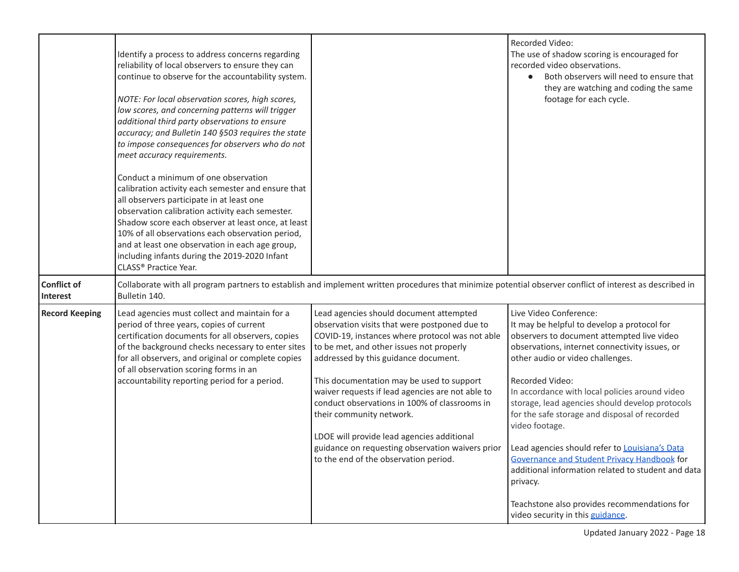<span id="page-17-1"></span><span id="page-17-0"></span>

|                                | Identify a process to address concerns regarding<br>reliability of local observers to ensure they can<br>continue to observe for the accountability system.<br>NOTE: For local observation scores, high scores,<br>low scores, and concerning patterns will trigger<br>additional third party observations to ensure<br>accuracy; and Bulletin 140 §503 requires the state<br>to impose consequences for observers who do not<br>meet accuracy requirements.<br>Conduct a minimum of one observation<br>calibration activity each semester and ensure that<br>all observers participate in at least one<br>observation calibration activity each semester.<br>Shadow score each observer at least once, at least<br>10% of all observations each observation period,<br>and at least one observation in each age group,<br>including infants during the 2019-2020 Infant<br>CLASS <sup>®</sup> Practice Year. |                                                                                                                                                                                                                                                                                                                                                                                                                                                                                                                                                                                                           | Recorded Video:<br>The use of shadow scoring is encouraged for<br>recorded video observations.<br>Both observers will need to ensure that<br>they are watching and coding the same<br>footage for each cycle.                                                                                                                                                                                                                                                                                                                                                                                             |
|--------------------------------|---------------------------------------------------------------------------------------------------------------------------------------------------------------------------------------------------------------------------------------------------------------------------------------------------------------------------------------------------------------------------------------------------------------------------------------------------------------------------------------------------------------------------------------------------------------------------------------------------------------------------------------------------------------------------------------------------------------------------------------------------------------------------------------------------------------------------------------------------------------------------------------------------------------|-----------------------------------------------------------------------------------------------------------------------------------------------------------------------------------------------------------------------------------------------------------------------------------------------------------------------------------------------------------------------------------------------------------------------------------------------------------------------------------------------------------------------------------------------------------------------------------------------------------|-----------------------------------------------------------------------------------------------------------------------------------------------------------------------------------------------------------------------------------------------------------------------------------------------------------------------------------------------------------------------------------------------------------------------------------------------------------------------------------------------------------------------------------------------------------------------------------------------------------|
| <b>Conflict of</b><br>Interest | Bulletin 140.                                                                                                                                                                                                                                                                                                                                                                                                                                                                                                                                                                                                                                                                                                                                                                                                                                                                                                 | Collaborate with all program partners to establish and implement written procedures that minimize potential observer conflict of interest as described in                                                                                                                                                                                                                                                                                                                                                                                                                                                 |                                                                                                                                                                                                                                                                                                                                                                                                                                                                                                                                                                                                           |
| <b>Record Keeping</b>          | Lead agencies must collect and maintain for a<br>period of three years, copies of current<br>certification documents for all observers, copies<br>of the background checks necessary to enter sites<br>for all observers, and original or complete copies<br>of all observation scoring forms in an<br>accountability reporting period for a period.                                                                                                                                                                                                                                                                                                                                                                                                                                                                                                                                                          | Lead agencies should document attempted<br>observation visits that were postponed due to<br>COVID-19, instances where protocol was not able<br>to be met, and other issues not properly<br>addressed by this guidance document.<br>This documentation may be used to support<br>waiver requests if lead agencies are not able to<br>conduct observations in 100% of classrooms in<br>their community network.<br>LDOE will provide lead agencies additional<br>guidance on requesting observation waivers prior   Lead agencies should refer to Louisiana's Data<br>to the end of the observation period. | Live Video Conference:<br>It may be helpful to develop a protocol for<br>observers to document attempted live video<br>observations, internet connectivity issues, or<br>other audio or video challenges.<br>Recorded Video:<br>In accordance with local policies around video<br>storage, lead agencies should develop protocols<br>for the safe storage and disposal of recorded<br>video footage.<br>Governance and Student Privacy Handbook for<br>additional information related to student and data<br>privacy.<br>Teachstone also provides recommendations for<br>video security in this guidance. |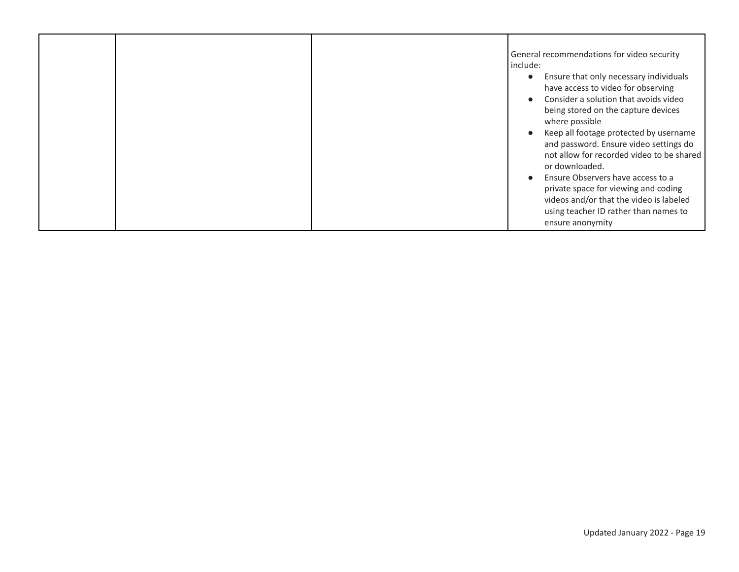|  | General recommendations for video security<br>include:<br>Ensure that only necessary individuals<br>$\bullet$<br>have access to video for observing<br>Consider a solution that avoids video<br>being stored on the capture devices<br>where possible<br>Keep all footage protected by username<br>and password. Ensure video settings do<br>not allow for recorded video to be shared<br>or downloaded.<br>Ensure Observers have access to a<br>private space for viewing and coding |
|--|---------------------------------------------------------------------------------------------------------------------------------------------------------------------------------------------------------------------------------------------------------------------------------------------------------------------------------------------------------------------------------------------------------------------------------------------------------------------------------------|
|  | videos and/or that the video is labeled<br>using teacher ID rather than names to<br>ensure anonymity                                                                                                                                                                                                                                                                                                                                                                                  |